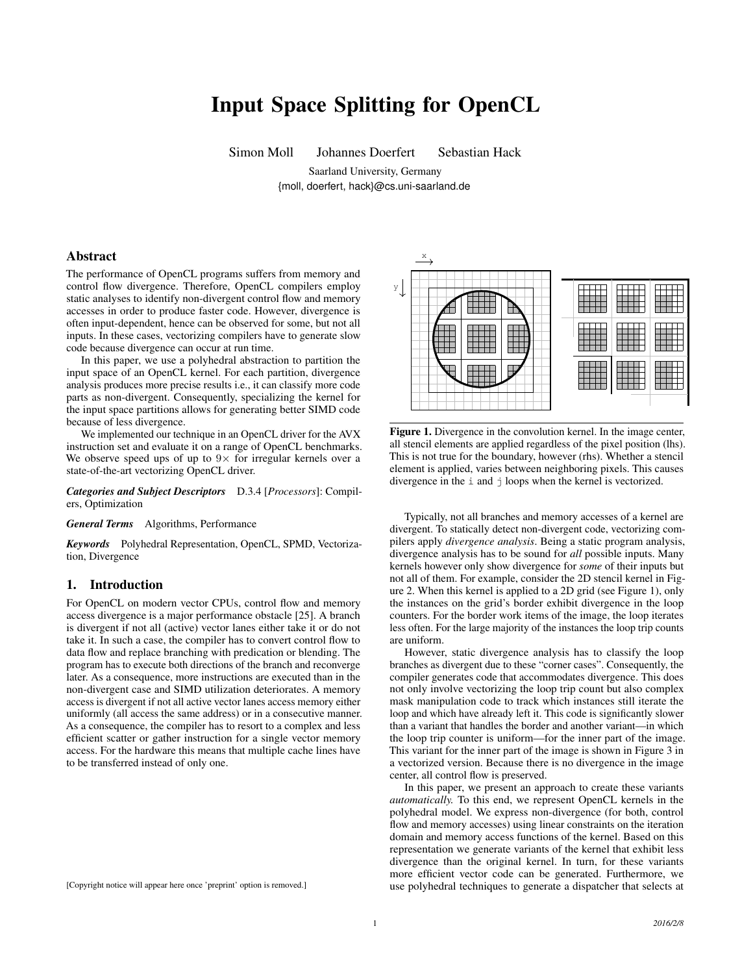# Input Space Splitting for OpenCL

Simon Moll Johannes Doerfert Sebastian Hack

Saarland University, Germany {moll, doerfert, hack}@cs.uni-saarland.de

## Abstract

The performance of OpenCL programs suffers from memory and control flow divergence. Therefore, OpenCL compilers employ static analyses to identify non-divergent control flow and memory accesses in order to produce faster code. However, divergence is often input-dependent, hence can be observed for some, but not all inputs. In these cases, vectorizing compilers have to generate slow code because divergence can occur at run time.

In this paper, we use a polyhedral abstraction to partition the input space of an OpenCL kernel. For each partition, divergence analysis produces more precise results i.e., it can classify more code parts as non-divergent. Consequently, specializing the kernel for the input space partitions allows for generating better SIMD code because of less divergence.

We implemented our technique in an OpenCL driver for the AVX instruction set and evaluate it on a range of OpenCL benchmarks. We observe speed ups of up to  $9 \times$  for irregular kernels over a state-of-the-art vectorizing OpenCL driver.

*Categories and Subject Descriptors* D.3.4 [*Processors*]: Compilers, Optimization

#### *General Terms* Algorithms, Performance

*Keywords* Polyhedral Representation, OpenCL, SPMD, Vectorization, Divergence

## 1. Introduction

For OpenCL on modern vector CPUs, control flow and memory access divergence is a major performance obstacle [25]. A branch is divergent if not all (active) vector lanes either take it or do not take it. In such a case, the compiler has to convert control flow to data flow and replace branching with predication or blending. The program has to execute both directions of the branch and reconverge later. As a consequence, more instructions are executed than in the non-divergent case and SIMD utilization deteriorates. A memory access is divergent if not all active vector lanes access memory either uniformly (all access the same address) or in a consecutive manner. As a consequence, the compiler has to resort to a complex and less efficient scatter or gather instruction for a single vector memory access. For the hardware this means that multiple cache lines have to be transferred instead of only one.



Figure 1. Divergence in the convolution kernel. In the image center, all stencil elements are applied regardless of the pixel position (lhs). This is not true for the boundary, however (rhs). Whether a stencil element is applied, varies between neighboring pixels. This causes divergence in the i and j loops when the kernel is vectorized.

Typically, not all branches and memory accesses of a kernel are divergent. To statically detect non-divergent code, vectorizing compilers apply *divergence analysis*. Being a static program analysis, divergence analysis has to be sound for *all* possible inputs. Many kernels however only show divergence for *some* of their inputs but not all of them. For example, consider the 2D stencil kernel in Figure 2. When this kernel is applied to a 2D grid (see Figure 1), only the instances on the grid's border exhibit divergence in the loop counters. For the border work items of the image, the loop iterates less often. For the large majority of the instances the loop trip counts are uniform.

However, static divergence analysis has to classify the loop branches as divergent due to these "corner cases". Consequently, the compiler generates code that accommodates divergence. This does not only involve vectorizing the loop trip count but also complex mask manipulation code to track which instances still iterate the loop and which have already left it. This code is significantly slower than a variant that handles the border and another variant—in which the loop trip counter is uniform—for the inner part of the image. This variant for the inner part of the image is shown in Figure 3 in a vectorized version. Because there is no divergence in the image center, all control flow is preserved.

In this paper, we present an approach to create these variants *automatically.* To this end, we represent OpenCL kernels in the polyhedral model. We express non-divergence (for both, control flow and memory accesses) using linear constraints on the iteration domain and memory access functions of the kernel. Based on this representation we generate variants of the kernel that exhibit less divergence than the original kernel. In turn, for these variants more efficient vector code can be generated. Furthermore, we use polyhedral techniques to generate a dispatcher that selects at

[Copyright notice will appear here once 'preprint' option is removed.]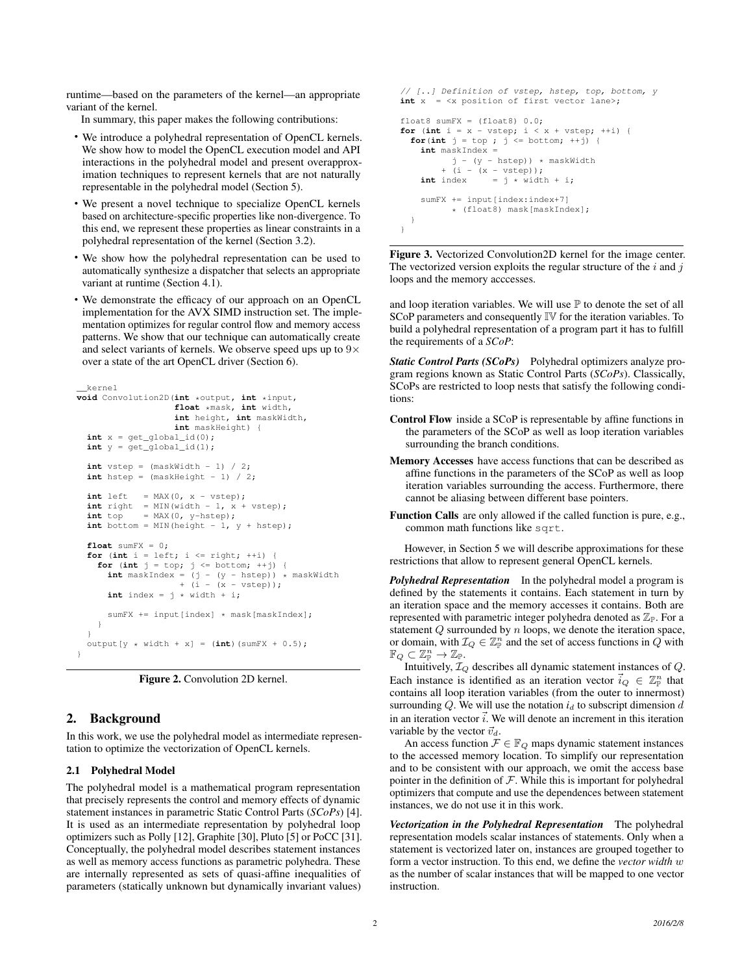runtime—based on the parameters of the kernel—an appropriate variant of the kernel.

In summary, this paper makes the following contributions:

- We introduce a polyhedral representation of OpenCL kernels. We show how to model the OpenCL execution model and API interactions in the polyhedral model and present overapproximation techniques to represent kernels that are not naturally representable in the polyhedral model (Section 5).
- We present a novel technique to specialize OpenCL kernels based on architecture-specific properties like non-divergence. To this end, we represent these properties as linear constraints in a polyhedral representation of the kernel (Section 3.2).
- We show how the polyhedral representation can be used to automatically synthesize a dispatcher that selects an appropriate variant at runtime (Section 4.1).
- We demonstrate the efficacy of our approach on an OpenCL implementation for the AVX SIMD instruction set. The implementation optimizes for regular control flow and memory access patterns. We show that our technique can automatically create and select variants of kernels. We observe speed ups up to  $9\times$ over a state of the art OpenCL driver (Section 6).

```
__kernel
void Convolution2D(int *output, int *input,
                   float *mask, int width,
                   int height, int maskWidth,
                   int maskHeight) {
  int x = get_global_id(0);int y = get\_global_id(1);int vstep = (maskWidth - 1) / 2;int hstep = (maskHeight - 1) / 2;int left = MAX(0, x - vstep);int right = MIN(width - 1, x + vstep);
  int top = MAX(0, y-hstep);int bottom = MIN(height - 1, y + hstep);
  float sum X = 0:
  for (int i = left; i \leq right; +i) {
    for (int j = top; j \leq bottom; ++j) {
      int maskIndex = (j - (y - hstep)) * maskWidth
                  + (i - (x - vstep));
      int index = j * width + i;
      sumFX += input[index] * mask[maskIndex];
   }
  \mathbf{I}output [y + width + x] = (int) (sumFX + 0.5);}
```
Figure 2. Convolution 2D kernel.

# 2. Background

In this work, we use the polyhedral model as intermediate representation to optimize the vectorization of OpenCL kernels.

## 2.1 Polyhedral Model

The polyhedral model is a mathematical program representation that precisely represents the control and memory effects of dynamic statement instances in parametric Static Control Parts (*SCoPs*) [4]. It is used as an intermediate representation by polyhedral loop optimizers such as Polly [12], Graphite [30], Pluto [5] or PoCC [31]. Conceptually, the polyhedral model describes statement instances as well as memory access functions as parametric polyhedra. These are internally represented as sets of quasi-affine inequalities of parameters (statically unknown but dynamically invariant values)

```
// [..] Definition of vstep, hstep, top, bottom, y
int x = <x position of first vector lane>;
float8 sumFX = (float8) 0.0;for (int i = x - vstep; i < x + vstep; i + i) {
  for(int j = top; j \leq bottom; +j) {
    int maskIndex =
     j - (y - hstep) * maskWidth<br>+ (i - (x - vstep));<br>
int index = j * width + i;
    sumFX += input[index:index+7]
           * (float8) mask[maskIndex];
  }
}
```
Figure 3. Vectorized Convolution2D kernel for the image center. The vectorized version exploits the regular structure of the  $i$  and  $j$ loops and the memory acccesses.

and loop iteration variables. We will use  $P$  to denote the set of all SCoP parameters and consequently IV for the iteration variables. To build a polyhedral representation of a program part it has to fulfill the requirements of a *SCoP*:

*Static Control Parts (SCoPs)* Polyhedral optimizers analyze program regions known as Static Control Parts (*SCoPs*). Classically, SCoPs are restricted to loop nests that satisfy the following conditions:

- Control Flow inside a SCoP is representable by affine functions in the parameters of the SCoP as well as loop iteration variables surrounding the branch conditions.
- Memory Accesses have access functions that can be described as affine functions in the parameters of the SCoP as well as loop iteration variables surrounding the access. Furthermore, there cannot be aliasing between different base pointers.
- Function Calls are only allowed if the called function is pure, e.g., common math functions like sqrt.

However, in Section 5 we will describe approximations for these restrictions that allow to represent general OpenCL kernels.

*Polyhedral Representation* In the polyhedral model a program is defined by the statements it contains. Each statement in turn by an iteration space and the memory accesses it contains. Both are represented with parametric integer polyhedra denoted as  $\mathbb{Z}_P$ . For a statement  $Q$  surrounded by  $n$  loops, we denote the iteration space, or domain, with  $\mathcal{I}_Q \in \mathbb{Z}_{\mathbb{P}}^n$  and the set of access functions in  $Q$  with  $\mathbb{F}_Q \subset \mathbb{Z}_{\mathbb{P}}^n \to \mathbb{Z}_{\mathbb{P}}$ .

Intuitively,  $\mathcal{I}_Q$  describes all dynamic statement instances of  $Q$ . Each instance is identified as an iteration vector  $\vec{i}_Q \in \mathbb{Z}_{\mathbb{P}}^n$  that contains all loop iteration variables (from the outer to innermost) surrounding  $Q$ . We will use the notation  $i_d$  to subscript dimension  $d$ in an iteration vector  $\vec{i}$ . We will denote an increment in this iteration variable by the vector  $\vec{v}_d$ .

An access function  $\mathcal{F} \in \mathbb{F}_{\mathcal{Q}}$  maps dynamic statement instances to the accessed memory location. To simplify our representation and to be consistent with our approach, we omit the access base pointer in the definition of  $F$ . While this is important for polyhedral optimizers that compute and use the dependences between statement instances, we do not use it in this work.

*Vectorization in the Polyhedral Representation* The polyhedral representation models scalar instances of statements. Only when a statement is vectorized later on, instances are grouped together to form a vector instruction. To this end, we define the *vector width* w as the number of scalar instances that will be mapped to one vector instruction.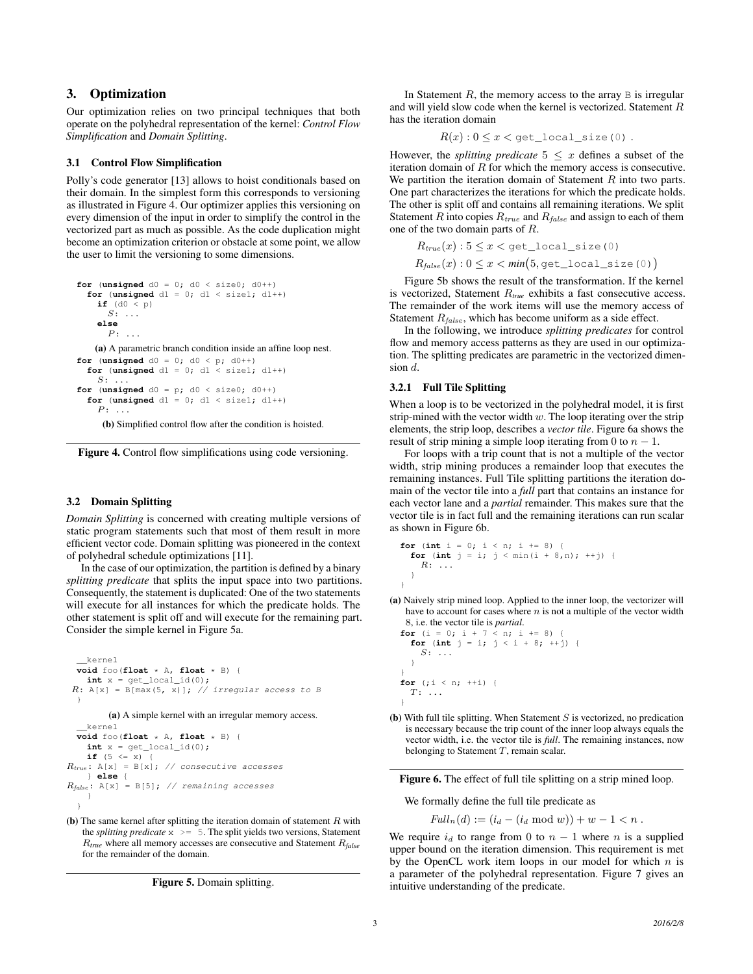# 3. Optimization

Our optimization relies on two principal techniques that both operate on the polyhedral representation of the kernel: *Control Flow Simplification* and *Domain Splitting*.

## 3.1 Control Flow Simplification

Polly's code generator [13] allows to hoist conditionals based on their domain. In the simplest form this corresponds to versioning as illustrated in Figure 4. Our optimizer applies this versioning on every dimension of the input in order to simplify the control in the vectorized part as much as possible. As the code duplication might become an optimization criterion or obstacle at some point, we allow the user to limit the versioning to some dimensions.

```
for (unsigned d0 = 0; d0 < size0; d0++)
  for (unsigned d1 = 0; d1 < size1; d1++)
    if (d0 < p)
      S: \ldotselse
      P: \ldots(a) A parametric branch condition inside an affine loop nest.
for (unsigned d0 = 0; d0 < p; d0++)
  for (unsigned d1 = 0; d1 < size1; d1++)
   S\colon\,\ldotsfor (unsigned d0 = p; d0 < size0; d0++)
  for (unsigned d1 = 0; d1 < size1; d1++)
    P: \ldots
```
(b) Simplified control flow after the condition is hoisted.

Figure 4. Control flow simplifications using code versioning.

## 3.2 Domain Splitting

*Domain Splitting* is concerned with creating multiple versions of static program statements such that most of them result in more efficient vector code. Domain splitting was pioneered in the context of polyhedral schedule optimizations [11].

In the case of our optimization, the partition is defined by a binary *splitting predicate* that splits the input space into two partitions. Consequently, the statement is duplicated: One of the two statements will execute for all instances for which the predicate holds. The other statement is split off and will execute for the remaining part. Consider the simple kernel in Figure 5a.

```
__kernel
 void foo(float * A, float * B) {
   int x = get\_local\_id(0);R: A[x] = B(max(5, x)]; // irregular access to B}
       (a) A simple kernel with an irregular memory access.
  __kernel
```
**void** foo(**float** \* A, **float** \* B) {  $int x = get\_local_id(0);$ **if**  $(5 \leq x)^{-1}$  $R_{true}:$   $A[x] = B[x]$ ; // consecutive accesses } **else** {  $R_{\text{false}}$ : A[x] = B[5]; // remaining accesses } }

(b) The same kernel after splitting the iteration domain of statement  $R$  with the *splitting predicate* x >= 5. The split yields two versions, Statement R*true* where all memory accesses are consecutive and Statement R*false* for the remainder of the domain.

Figure 5. Domain splitting.

In Statement  $R$ , the memory access to the array  $B$  is irregular and will yield slow code when the kernel is vectorized. Statement R has the iteration domain

$$
R(x): 0 \le x < \text{get\_local\_size}(0) .
$$

However, the *splitting predicate*  $5 \leq x$  defines a subset of the iteration domain of R for which the memory access is consecutive. We partition the iteration domain of Statement R into two parts. One part characterizes the iterations for which the predicate holds. The other is split off and contains all remaining iterations. We split Statement R into copies  $R_{true}$  and  $R_{false}$  and assign to each of them one of the two domain parts of R.

$$
R_{true}(x): 5 \le x < \text{get\_local\_size}(0)
$$
  

$$
R_{false}(x): 0 \le x < \min(5, \text{get\_local\_size}(0))
$$

Figure 5b shows the result of the transformation. If the kernel is vectorized, Statement R*true* exhibits a fast consecutive access. The remainder of the work items will use the memory access of Statement  $R_{false}$ , which has become uniform as a side effect.

In the following, we introduce *splitting predicates* for control flow and memory access patterns as they are used in our optimization. The splitting predicates are parametric in the vectorized dimension d.

## 3.2.1 Full Tile Splitting

}

When a loop is to be vectorized in the polyhedral model, it is first strip-mined with the vector width  $w$ . The loop iterating over the strip elements, the strip loop, describes a *vector tile*. Figure 6a shows the result of strip mining a simple loop iterating from 0 to  $n - 1$ .

For loops with a trip count that is not a multiple of the vector width, strip mining produces a remainder loop that executes the remaining instances. Full Tile splitting partitions the iteration domain of the vector tile into a *full* part that contains an instance for each vector lane and a *partial* remainder. This makes sure that the vector tile is in fact full and the remaining iterations can run scalar as shown in Figure 6b.

```
for (int i = 0; i < n; i += 8) {
 for (int j = i; j < min(i + 8, n); ++j) {
   R: \ldots}
```
(a) Naively strip mined loop. Applied to the inner loop, the vectorizer will have to account for cases where  $n$  is not a multiple of the vector width 8, i.e. the vector tile is *partial*.

**for** (i = 0; i + 7 < n; i += 8) { **for** (**int** j = i; j < i + 8; ++j) { S: ... } } **for** (;i < n; ++i) { T: ... }

(b) With full tile splitting. When Statement  $S$  is vectorized, no predication is necessary because the trip count of the inner loop always equals the vector width, i.e. the vector tile is *full*. The remaining instances, now belonging to Statement  $T$ , remain scalar.

Figure 6. The effect of full tile splitting on a strip mined loop.

We formally define the full tile predicate as

 $Full_n(d) := (i_d - (i_d \mod w)) + w - 1 < n$ .

We require  $i_d$  to range from 0 to  $n-1$  where n is a supplied upper bound on the iteration dimension. This requirement is met by the OpenCL work item loops in our model for which  $n$  is a parameter of the polyhedral representation. Figure 7 gives an intuitive understanding of the predicate.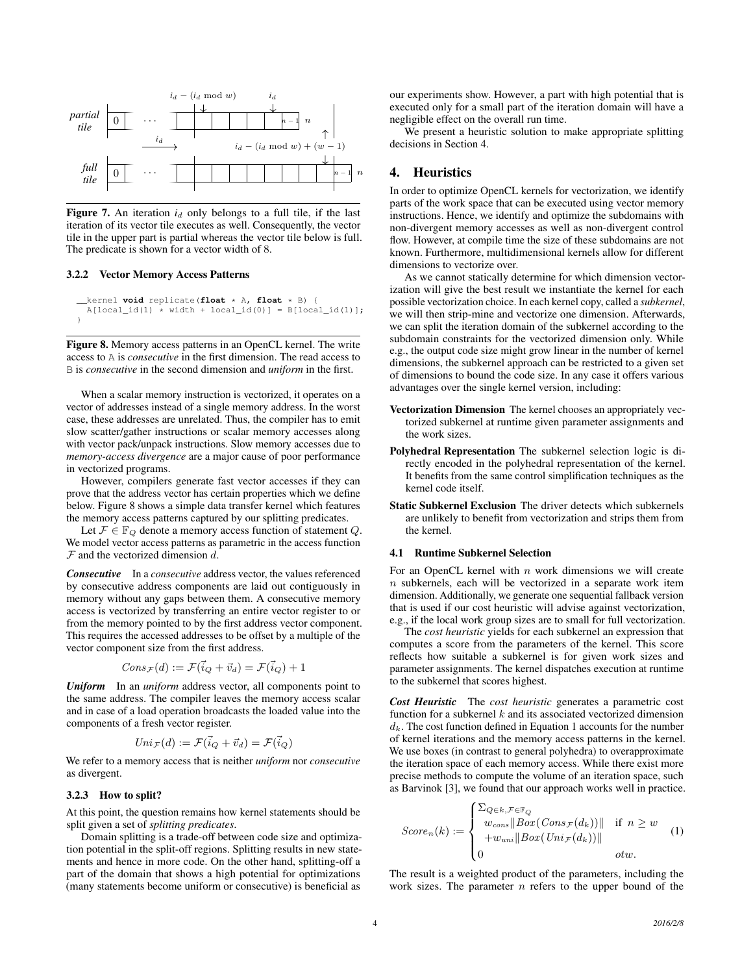

Figure 7. An iteration  $i_d$  only belongs to a full tile, if the last iteration of its vector tile executes as well. Consequently, the vector tile in the upper part is partial whereas the vector tile below is full. The predicate is shown for a vector width of 8.

#### 3.2.2 Vector Memory Access Patterns

\_\_kernel **void** replicate(**float** \* A, **float** \* B) { A[local\_id(1) \* width + local\_id(0)] = B[local\_id(1)]; }

Figure 8. Memory access patterns in an OpenCL kernel. The write access to A is *consecutive* in the first dimension. The read access to B is *consecutive* in the second dimension and *uniform* in the first.

When a scalar memory instruction is vectorized, it operates on a vector of addresses instead of a single memory address. In the worst case, these addresses are unrelated. Thus, the compiler has to emit slow scatter/gather instructions or scalar memory accesses along with vector pack/unpack instructions. Slow memory accesses due to *memory-access divergence* are a major cause of poor performance in vectorized programs.

However, compilers generate fast vector accesses if they can prove that the address vector has certain properties which we define below. Figure 8 shows a simple data transfer kernel which features the memory access patterns captured by our splitting predicates.

Let  $\mathcal{F} \in \mathbb{F}_{\mathcal{Q}}$  denote a memory access function of statement Q. We model vector access patterns as parametric in the access function  $F$  and the vectorized dimension  $d$ .

*Consecutive* In a *consecutive* address vector, the values referenced by consecutive address components are laid out contiguously in memory without any gaps between them. A consecutive memory access is vectorized by transferring an entire vector register to or from the memory pointed to by the first address vector component. This requires the accessed addresses to be offset by a multiple of the vector component size from the first address.

$$
Cons_{\mathcal{F}}(d) := \mathcal{F}(\vec{i}_Q + \vec{v}_d) = \mathcal{F}(\vec{i}_Q) + 1
$$

*Uniform* In an *uniform* address vector, all components point to the same address. The compiler leaves the memory access scalar and in case of a load operation broadcasts the loaded value into the components of a fresh vector register.

$$
Uni_{\mathcal{F}}(d) := \mathcal{F}(\vec{i}_Q + \vec{v}_d) = \mathcal{F}(\vec{i}_Q)
$$

We refer to a memory access that is neither *uniform* nor *consecutive* as divergent.

## 3.2.3 How to split?

At this point, the question remains how kernel statements should be split given a set of *splitting predicates*.

Domain splitting is a trade-off between code size and optimization potential in the split-off regions. Splitting results in new statements and hence in more code. On the other hand, splitting-off a part of the domain that shows a high potential for optimizations (many statements become uniform or consecutive) is beneficial as our experiments show. However, a part with high potential that is executed only for a small part of the iteration domain will have a negligible effect on the overall run time.

We present a heuristic solution to make appropriate splitting decisions in Section 4.

## 4. Heuristics

In order to optimize OpenCL kernels for vectorization, we identify parts of the work space that can be executed using vector memory instructions. Hence, we identify and optimize the subdomains with non-divergent memory accesses as well as non-divergent control flow. However, at compile time the size of these subdomains are not known. Furthermore, multidimensional kernels allow for different dimensions to vectorize over.

As we cannot statically determine for which dimension vectorization will give the best result we instantiate the kernel for each possible vectorization choice. In each kernel copy, called a *subkernel*, we will then strip-mine and vectorize one dimension. Afterwards, we can split the iteration domain of the subkernel according to the subdomain constraints for the vectorized dimension only. While e.g., the output code size might grow linear in the number of kernel dimensions, the subkernel approach can be restricted to a given set of dimensions to bound the code size. In any case it offers various advantages over the single kernel version, including:

- Vectorization Dimension The kernel chooses an appropriately vectorized subkernel at runtime given parameter assignments and the work sizes.
- Polyhedral Representation The subkernel selection logic is directly encoded in the polyhedral representation of the kernel. It benefits from the same control simplification techniques as the kernel code itself.
- Static Subkernel Exclusion The driver detects which subkernels are unlikely to benefit from vectorization and strips them from the kernel.

#### 4.1 Runtime Subkernel Selection

For an OpenCL kernel with  $n$  work dimensions we will create  $n$  subkernels, each will be vectorized in a separate work item dimension. Additionally, we generate one sequential fallback version that is used if our cost heuristic will advise against vectorization, e.g., if the local work group sizes are to small for full vectorization.

The *cost heuristic* yields for each subkernel an expression that computes a score from the parameters of the kernel. This score reflects how suitable a subkernel is for given work sizes and parameter assignments. The kernel dispatches execution at runtime to the subkernel that scores highest.

*Cost Heuristic* The *cost heuristic* generates a parametric cost function for a subkernel  $k$  and its associated vectorized dimension  $d_k$ . The cost function defined in Equation 1 accounts for the number of kernel iterations and the memory access patterns in the kernel. We use boxes (in contrast to general polyhedra) to overapproximate the iteration space of each memory access. While there exist more precise methods to compute the volume of an iteration space, such as Barvinok [3], we found that our approach works well in practice.

$$
Score_n(k) := \begin{cases} \sum_{Q \in k, \mathcal{F} \in \mathbb{F}_Q} w_{cons} || Box(Cons_{\mathcal{F}}(d_k)) || & \text{if } n \ge w \\ + w_{uni} || Box(Uni_{\mathcal{F}}(d_k)) || & \text{if } n \ge w \\ 0 & \text{ot} w. \end{cases}
$$
 (1)

The result is a weighted product of the parameters, including the work sizes. The parameter  $n$  refers to the upper bound of the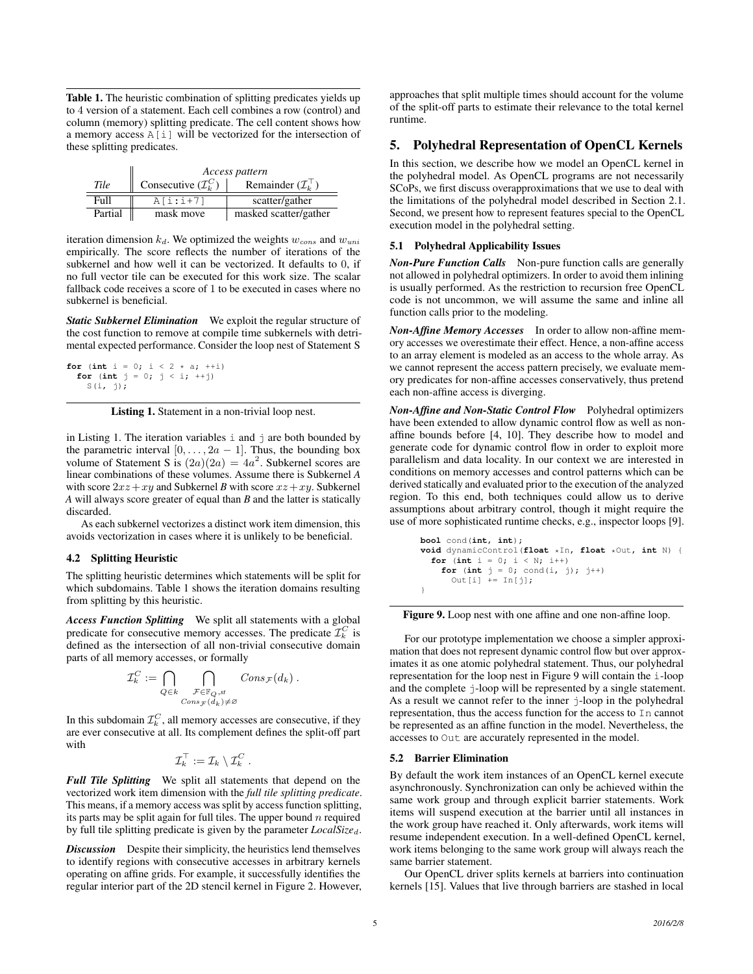Table 1. The heuristic combination of splitting predicates yields up to 4 version of a statement. Each cell combines a row (control) and column (memory) splitting predicate. The cell content shows how a memory access A[i] will be vectorized for the intersection of these splitting predicates.

|         | Access pattern                  |                                       |  |  |  |  |  |
|---------|---------------------------------|---------------------------------------|--|--|--|--|--|
| Tile    | Consecutive $(\mathcal{I}_k^C)$ | Remainder $(\mathcal{I}_{k}^{\perp})$ |  |  |  |  |  |
| Full    | $A[i:i+7]$                      | scatter/gather                        |  |  |  |  |  |
| Partial | mask move                       | masked scatter/gather                 |  |  |  |  |  |

iteration dimension  $k_d$ . We optimized the weights  $w_{cons}$  and  $w_{uni}$ empirically. The score reflects the number of iterations of the subkernel and how well it can be vectorized. It defaults to 0, if no full vector tile can be executed for this work size. The scalar fallback code receives a score of 1 to be executed in cases where no subkernel is beneficial.

*Static Subkernel Elimination* We exploit the regular structure of the cost function to remove at compile time subkernels with detrimental expected performance. Consider the loop nest of Statement S

```
for (int i = 0; i < 2 * a; ++i)
  for (int j = 0; j < i; ++j)
   S(i, j);
```
Listing 1. Statement in a non-trivial loop nest.

in Listing 1. The iteration variables  $\pm$  and  $\pm$  are both bounded by the parametric interval  $[0, \ldots, 2a-1]$ . Thus, the bounding box volume of Statement S is  $(2a)(2a) = 4a^2$ . Subkernel scores are linear combinations of these volumes. Assume there is Subkernel *A* with score  $2xz+xy$  and Subkernel *B* with score  $xz+xy$ . Subkernel *A* will always score greater of equal than *B* and the latter is statically discarded.

As each subkernel vectorizes a distinct work item dimension, this avoids vectorization in cases where it is unlikely to be beneficial.

#### 4.2 Splitting Heuristic

The splitting heuristic determines which statements will be split for which subdomains. Table 1 shows the iteration domains resulting from splitting by this heuristic.

*Access Function Splitting* We split all statements with a global predicate for consecutive memory accesses. The predicate  $\mathcal{I}_k^C$  is defined as the intersection of all non-trivial consecutive domain parts of all memory accesses, or formally

$$
\mathcal{I}_k^C := \bigcap_{Q \in k} \bigcap_{\substack{\mathcal{F} \in \mathbb{F}_Q, st \\ Cons_{\mathcal{F}}(d_k) \neq \varnothing}} Cons_{\mathcal{F}}(d_k) .
$$

In this subdomain  $\mathcal{I}_{k}^C$ , all memory accesses are consecutive, if they are ever consecutive at all. Its complement defines the split-off part with

$$
\mathcal{I}_k^{\top} := \mathcal{I}_k \setminus \mathcal{I}_k^C.
$$

*Full Tile Splitting* We split all statements that depend on the vectorized work item dimension with the *full tile splitting predicate*. This means, if a memory access was split by access function splitting, its parts may be split again for full tiles. The upper bound  $n$  required by full tile splitting predicate is given by the parameter *LocalSize*d.

*Discussion* Despite their simplicity, the heuristics lend themselves to identify regions with consecutive accesses in arbitrary kernels operating on affine grids. For example, it successfully identifies the regular interior part of the 2D stencil kernel in Figure 2. However, approaches that split multiple times should account for the volume of the split-off parts to estimate their relevance to the total kernel runtime.

# 5. Polyhedral Representation of OpenCL Kernels

In this section, we describe how we model an OpenCL kernel in the polyhedral model. As OpenCL programs are not necessarily SCoPs, we first discuss overapproximations that we use to deal with the limitations of the polyhedral model described in Section 2.1. Second, we present how to represent features special to the OpenCL execution model in the polyhedral setting.

## 5.1 Polyhedral Applicability Issues

*Non-Pure Function Calls* Non-pure function calls are generally not allowed in polyhedral optimizers. In order to avoid them inlining is usually performed. As the restriction to recursion free OpenCL code is not uncommon, we will assume the same and inline all function calls prior to the modeling.

*Non-Affine Memory Accesses* In order to allow non-affine memory accesses we overestimate their effect. Hence, a non-affine access to an array element is modeled as an access to the whole array. As we cannot represent the access pattern precisely, we evaluate memory predicates for non-affine accesses conservatively, thus pretend each non-affine access is diverging.

*Non-Affine and Non-Static Control Flow* Polyhedral optimizers have been extended to allow dynamic control flow as well as nonaffine bounds before [4, 10]. They describe how to model and generate code for dynamic control flow in order to exploit more parallelism and data locality. In our context we are interested in conditions on memory accesses and control patterns which can be derived statically and evaluated prior to the execution of the analyzed region. To this end, both techniques could allow us to derive assumptions about arbitrary control, though it might require the use of more sophisticated runtime checks, e.g., inspector loops [9].

```
bool cond(int, int);
void dynamicControl(float *In, float *Out, int N) {
  for (int i = 0; i < N; i++)for (int j = 0; cond(i, j); j++)Out[i] += In[j];
}
```
Figure 9. Loop nest with one affine and one non-affine loop.

For our prototype implementation we choose a simpler approximation that does not represent dynamic control flow but over approximates it as one atomic polyhedral statement. Thus, our polyhedral representation for the loop nest in Figure 9 will contain the i-loop and the complete j-loop will be represented by a single statement. As a result we cannot refer to the inner j-loop in the polyhedral representation, thus the access function for the access to In cannot be represented as an affine function in the model. Nevertheless, the accesses to Out are accurately represented in the model.

#### 5.2 Barrier Elimination

By default the work item instances of an OpenCL kernel execute asynchronously. Synchronization can only be achieved within the same work group and through explicit barrier statements. Work items will suspend execution at the barrier until all instances in the work group have reached it. Only afterwards, work items will resume independent execution. In a well-defined OpenCL kernel, work items belonging to the same work group will always reach the same barrier statement.

Our OpenCL driver splits kernels at barriers into continuation kernels [15]. Values that live through barriers are stashed in local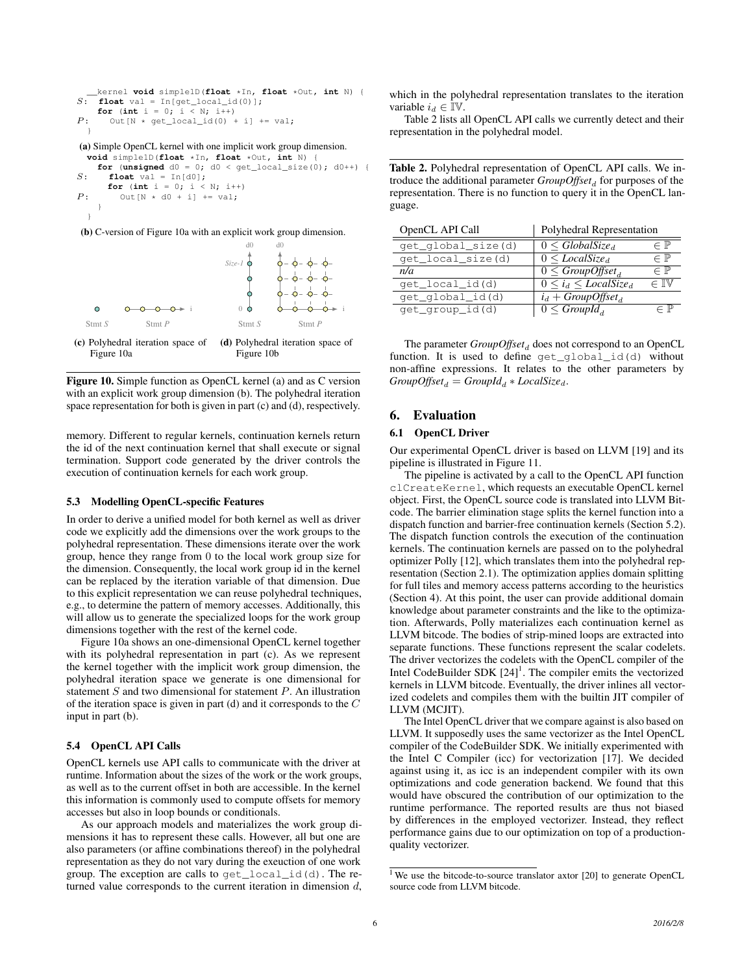```
Example 10 is valued void simple1D(float *In, float *Out, int N) {<br>S: float value Infect local id(0)):
    float val = In[get\_local\_id(0)];
     for (int i = 0; i < N; i++)P: Out [N * get_local_id(0) + i] += val;
  }
(a) Simple OpenCL kernel with one implicit work group dimension.
  void simple1D(float *In, float *Out, int N) {
    for (unsigned d0 = 0; d0 < \text{get\_local\_size}(0); d0++) {
S: float val = \text{In}[\text{d}0];<br>
for (int i = 0; i < N; i++)
P: Out[N * d0 + i] += val;
     }
  }
```
(b) C-version of Figure 10a with an explicit work group dimension.



Figure 10. Simple function as OpenCL kernel (a) and as C version with an explicit work group dimension (b). The polyhedral iteration space representation for both is given in part (c) and (d), respectively.

memory. Different to regular kernels, continuation kernels return the id of the next continuation kernel that shall execute or signal termination. Support code generated by the driver controls the execution of continuation kernels for each work group.

#### 5.3 Modelling OpenCL-specific Features

In order to derive a unified model for both kernel as well as driver code we explicitly add the dimensions over the work groups to the polyhedral representation. These dimensions iterate over the work group, hence they range from 0 to the local work group size for the dimension. Consequently, the local work group id in the kernel can be replaced by the iteration variable of that dimension. Due to this explicit representation we can reuse polyhedral techniques, e.g., to determine the pattern of memory accesses. Additionally, this will allow us to generate the specialized loops for the work group dimensions together with the rest of the kernel code.

Figure 10a shows an one-dimensional OpenCL kernel together with its polyhedral representation in part (c). As we represent the kernel together with the implicit work group dimension, the polyhedral iteration space we generate is one dimensional for statement S and two dimensional for statement P. An illustration of the iteration space is given in part (d) and it corresponds to the C input in part (b).

## 5.4 OpenCL API Calls

OpenCL kernels use API calls to communicate with the driver at runtime. Information about the sizes of the work or the work groups, as well as to the current offset in both are accessible. In the kernel this information is commonly used to compute offsets for memory accesses but also in loop bounds or conditionals.

As our approach models and materializes the work group dimensions it has to represent these calls. However, all but one are also parameters (or affine combinations thereof) in the polyhedral representation as they do not vary during the exeuction of one work group. The exception are calls to get\_local\_id(d). The returned value corresponds to the current iteration in dimension d, which in the polyhedral representation translates to the iteration variable  $i_d \in \mathbb{IV}$ .

Table 2 lists all OpenCL API calls we currently detect and their representation in the polyhedral model.

Table 2. Polyhedral representation of OpenCL API calls. We introduce the additional parameter  $GroupOffset_d$  for purposes of the representation. There is no function to query it in the OpenCL language.

| OpenCL API Call    | Polyhedral Representation                          |  |  |  |  |
|--------------------|----------------------------------------------------|--|--|--|--|
| qet_qlobal_size(d) | $0 \leq GlobalSize_d$<br>$\in \mathbb{P}$          |  |  |  |  |
| qet_local_size(d)  | $0 \leq LocalSize_{d}$<br>$\in \mathbb{P}$         |  |  |  |  |
| n/a                | $0 \leq GroupOffset_d$<br>$\in \mathbb{P}$         |  |  |  |  |
| qet_local_id(d)    | $0 \leq i_d \leq LocalSize_d$<br>$\in \mathbb{IV}$ |  |  |  |  |
| qet_qlobal_id(d)   | $i_d + GroupOffset_d$                              |  |  |  |  |
| get_group_id(d)    | $0 \le$ GroupId <sub>d</sub><br>$\in \mathbb{P}$   |  |  |  |  |

The parameter *GroupOffset*<sub>d</sub> does not correspond to an OpenCL function. It is used to define get\_global\_id(d) without non-affine expressions. It relates to the other parameters by  $GroupOf [set]_d = Group Id]_d * Local Size_d.$ 

# 6. Evaluation

## 6.1 OpenCL Driver

Our experimental OpenCL driver is based on LLVM [19] and its pipeline is illustrated in Figure 11.

The pipeline is activated by a call to the OpenCL API function clCreateKernel, which requests an executable OpenCL kernel object. First, the OpenCL source code is translated into LLVM Bitcode. The barrier elimination stage splits the kernel function into a dispatch function and barrier-free continuation kernels (Section 5.2). The dispatch function controls the execution of the continuation kernels. The continuation kernels are passed on to the polyhedral optimizer Polly [12], which translates them into the polyhedral representation (Section 2.1). The optimization applies domain splitting for full tiles and memory access patterns according to the heuristics (Section 4). At this point, the user can provide additional domain knowledge about parameter constraints and the like to the optimization. Afterwards, Polly materializes each continuation kernel as LLVM bitcode. The bodies of strip-mined loops are extracted into separate functions. These functions represent the scalar codelets. The driver vectorizes the codelets with the OpenCL compiler of the Intel CodeBuilder SDK [24] 1 . The compiler emits the vectorized kernels in LLVM bitcode. Eventually, the driver inlines all vectorized codelets and compiles them with the builtin JIT compiler of LLVM (MCJIT).

The Intel OpenCL driver that we compare against is also based on LLVM. It supposedly uses the same vectorizer as the Intel OpenCL compiler of the CodeBuilder SDK. We initially experimented with the Intel C Compiler (icc) for vectorization [17]. We decided against using it, as icc is an independent compiler with its own optimizations and code generation backend. We found that this would have obscured the contribution of our optimization to the runtime performance. The reported results are thus not biased by differences in the employed vectorizer. Instead, they reflect performance gains due to our optimization on top of a productionquality vectorizer.

<sup>&</sup>lt;sup>1</sup> We use the bitcode-to-source translator axtor [20] to generate OpenCL source code from LLVM bitcode.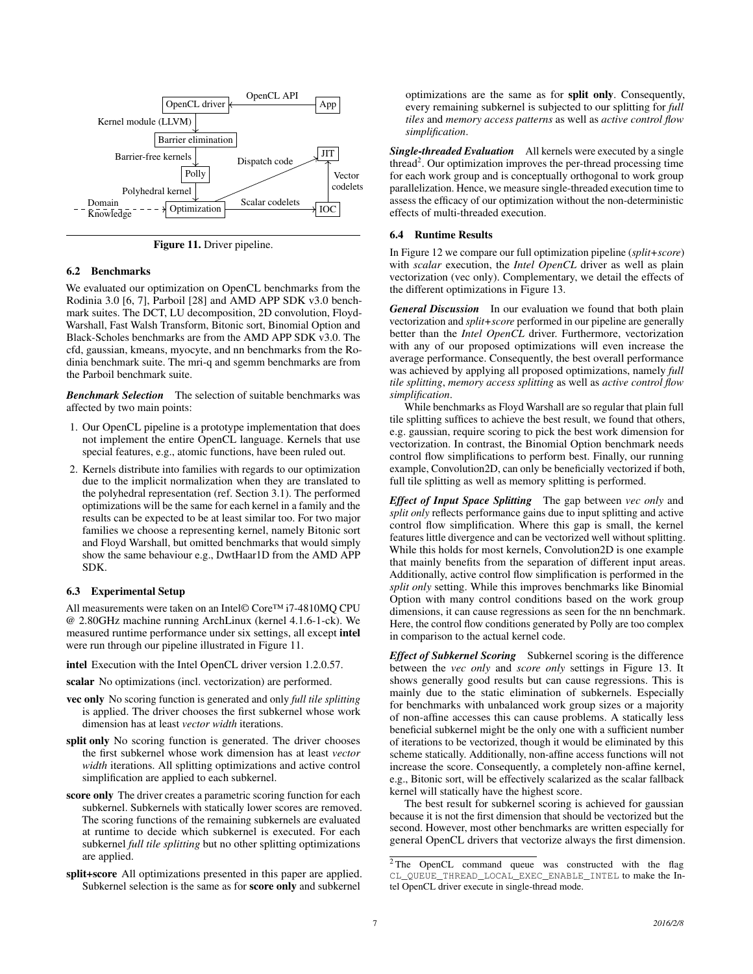

Figure 11. Driver pipeline.

## 6.2 Benchmarks

We evaluated our optimization on OpenCL benchmarks from the Rodinia 3.0 [6, 7], Parboil [28] and AMD APP SDK v3.0 benchmark suites. The DCT, LU decomposition, 2D convolution, Floyd-Warshall, Fast Walsh Transform, Bitonic sort, Binomial Option and Black-Scholes benchmarks are from the AMD APP SDK v3.0. The cfd, gaussian, kmeans, myocyte, and nn benchmarks from the Rodinia benchmark suite. The mri-q and sgemm benchmarks are from the Parboil benchmark suite.

*Benchmark Selection* The selection of suitable benchmarks was affected by two main points:

- 1. Our OpenCL pipeline is a prototype implementation that does not implement the entire OpenCL language. Kernels that use special features, e.g., atomic functions, have been ruled out.
- 2. Kernels distribute into families with regards to our optimization due to the implicit normalization when they are translated to the polyhedral representation (ref. Section 3.1). The performed optimizations will be the same for each kernel in a family and the results can be expected to be at least similar too. For two major families we choose a representing kernel, namely Bitonic sort and Floyd Warshall, but omitted benchmarks that would simply show the same behaviour e.g., DwtHaar1D from the AMD APP SDK.

## 6.3 Experimental Setup

All measurements were taken on an Intel© Core™ i7-4810MQ CPU @ 2.80GHz machine running ArchLinux (kernel 4.1.6-1-ck). We measured runtime performance under six settings, all except intel were run through our pipeline illustrated in Figure 11.

intel Execution with the Intel OpenCL driver version 1.2.0.57.

scalar No optimizations (incl. vectorization) are performed.

- vec only No scoring function is generated and only *full tile splitting* is applied. The driver chooses the first subkernel whose work dimension has at least *vector width* iterations.
- split only No scoring function is generated. The driver chooses the first subkernel whose work dimension has at least *vector width* iterations. All splitting optimizations and active control simplification are applied to each subkernel.
- score only The driver creates a parametric scoring function for each subkernel. Subkernels with statically lower scores are removed. The scoring functions of the remaining subkernels are evaluated at runtime to decide which subkernel is executed. For each subkernel *full tile splitting* but no other splitting optimizations are applied.
- split+score All optimizations presented in this paper are applied. Subkernel selection is the same as for score only and subkernel

optimizations are the same as for split only. Consequently, every remaining subkernel is subjected to our splitting for *full tiles* and *memory access patterns* as well as *active control flow simplification*.

*Single-threaded Evaluation* All kernels were executed by a single thread<sup>2</sup>. Our optimization improves the per-thread processing time for each work group and is conceptually orthogonal to work group parallelization. Hence, we measure single-threaded execution time to assess the efficacy of our optimization without the non-deterministic effects of multi-threaded execution.

## 6.4 Runtime Results

In Figure 12 we compare our full optimization pipeline (*split+score*) with *scalar* execution, the *Intel OpenCL* driver as well as plain vectorization (vec only). Complementary, we detail the effects of the different optimizations in Figure 13.

*General Discussion* In our evaluation we found that both plain vectorization and *split+score* performed in our pipeline are generally better than the *Intel OpenCL* driver. Furthermore, vectorization with any of our proposed optimizations will even increase the average performance. Consequently, the best overall performance was achieved by applying all proposed optimizations, namely *full tile splitting*, *memory access splitting* as well as *active control flow simplification*.

While benchmarks as Floyd Warshall are so regular that plain full tile splitting suffices to achieve the best result, we found that others, e.g. gaussian, require scoring to pick the best work dimension for vectorization. In contrast, the Binomial Option benchmark needs control flow simplifications to perform best. Finally, our running example, Convolution2D, can only be beneficially vectorized if both, full tile splitting as well as memory splitting is performed.

*Effect of Input Space Splitting* The gap between *vec only* and *split only* reflects performance gains due to input splitting and active control flow simplification. Where this gap is small, the kernel features little divergence and can be vectorized well without splitting. While this holds for most kernels, Convolution2D is one example that mainly benefits from the separation of different input areas. Additionally, active control flow simplification is performed in the *split only* setting. While this improves benchmarks like Binomial Option with many control conditions based on the work group dimensions, it can cause regressions as seen for the nn benchmark. Here, the control flow conditions generated by Polly are too complex in comparison to the actual kernel code.

*Effect of Subkernel Scoring* Subkernel scoring is the difference between the *vec only* and *score only* settings in Figure 13. It shows generally good results but can cause regressions. This is mainly due to the static elimination of subkernels. Especially for benchmarks with unbalanced work group sizes or a majority of non-affine accesses this can cause problems. A statically less beneficial subkernel might be the only one with a sufficient number of iterations to be vectorized, though it would be eliminated by this scheme statically. Additionally, non-affine access functions will not increase the score. Consequently, a completely non-affine kernel, e.g., Bitonic sort, will be effectively scalarized as the scalar fallback kernel will statically have the highest score.

The best result for subkernel scoring is achieved for gaussian because it is not the first dimension that should be vectorized but the second. However, most other benchmarks are written especially for general OpenCL drivers that vectorize always the first dimension.

<sup>&</sup>lt;sup>2</sup>The OpenCL command queue was constructed with the flag CL\_QUEUE\_THREAD\_LOCAL\_EXEC\_ENABLE\_INTEL to make the Intel OpenCL driver execute in single-thread mode.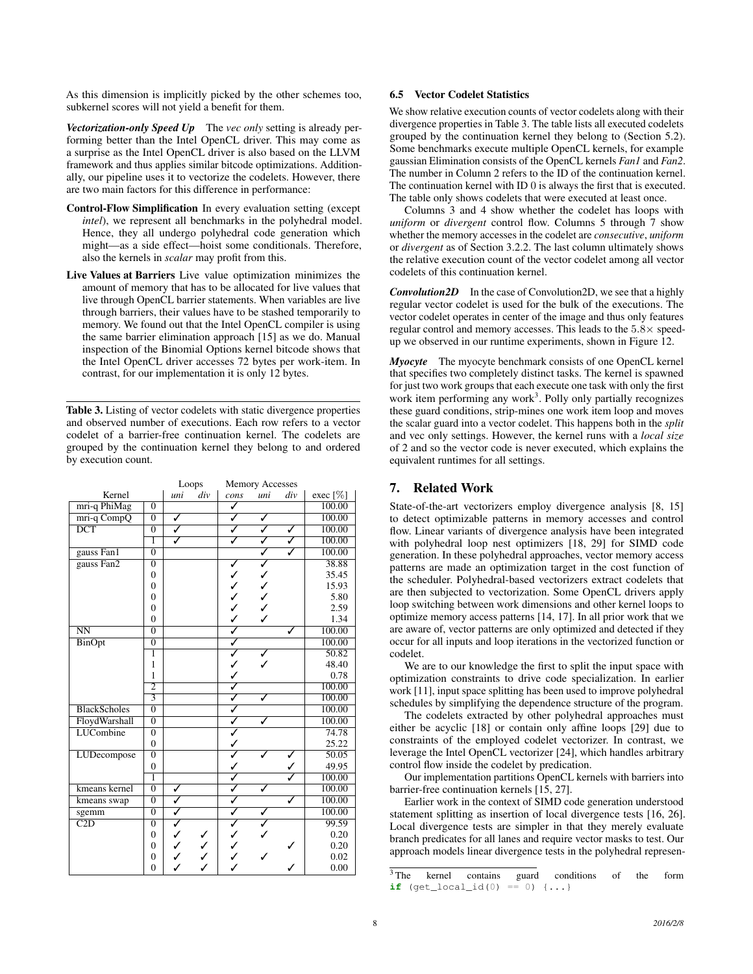As this dimension is implicitly picked by the other schemes too, subkernel scores will not yield a benefit for them.

*Vectorization-only Speed Up* The *vec only* setting is already performing better than the Intel OpenCL driver. This may come as a surprise as the Intel OpenCL driver is also based on the LLVM framework and thus applies similar bitcode optimizations. Additionally, our pipeline uses it to vectorize the codelets. However, there are two main factors for this difference in performance:

- Control-Flow Simplification In every evaluation setting (except *intel*), we represent all benchmarks in the polyhedral model. Hence, they all undergo polyhedral code generation which might—as a side effect—hoist some conditionals. Therefore, also the kernels in *scalar* may profit from this.
- Live Values at Barriers Live value optimization minimizes the amount of memory that has to be allocated for live values that live through OpenCL barrier statements. When variables are live through barriers, their values have to be stashed temporarily to memory. We found out that the Intel OpenCL compiler is using the same barrier elimination approach [15] as we do. Manual inspection of the Binomial Options kernel bitcode shows that the Intel OpenCL driver accesses 72 bytes per work-item. In contrast, for our implementation it is only 12 bytes.

Table 3. Listing of vector codelets with static divergence properties and observed number of executions. Each row refers to a vector codelet of a barrier-free continuation kernel. The codelets are grouped by the continuation kernel they belong to and ordered by execution count.

|                          |                  | Loops |                                                                   | <b>Memory Accesses</b> |              |     |          |
|--------------------------|------------------|-------|-------------------------------------------------------------------|------------------------|--------------|-----|----------|
| Kernel                   |                  | uni   | div                                                               | cons                   | uni          | div | exec [%] |
| mri-q PhiMag<br>$\Omega$ |                  |       |                                                                   | J                      |              |     | 100.00   |
| mri-q CompQ              | $\overline{0}$   | √     |                                                                   | ✓                      | √            |     | 100.00   |
| $\overline{DCT}$         | $\overline{0}$   | ✓     |                                                                   | ✓                      | ✓            | ✓   | 100.00   |
|                          | $\overline{1}$   | フ     |                                                                   | J                      | ✓            | ✓   | 100.00   |
| gauss Fan1               | $\overline{0}$   |       |                                                                   |                        | 7            | ✓   | 100.00   |
| gauss Fan2               | $\theta$         |       |                                                                   | ✓                      | 7            |     | 38.88    |
|                          | $\overline{0}$   |       |                                                                   |                        | ✓            |     | 35.45    |
|                          | $\overline{0}$   |       |                                                                   |                        | $\checkmark$ |     | 15.93    |
|                          | $\overline{0}$   |       |                                                                   | $\checkmark$           |              |     | 5.80     |
|                          | $\theta$         |       |                                                                   | ✓                      | ✓            |     | 2.59     |
|                          | $\overline{0}$   |       |                                                                   | ✓                      | ℐ            |     | 1.34     |
| $\overline{\text{NN}}$   | $\overline{0}$   |       |                                                                   | ✓                      |              |     | 100.00   |
| <b>BinOpt</b>            | $\overline{0}$   |       |                                                                   | ✓                      |              |     | 100.00   |
|                          | ī                |       |                                                                   | ✓                      |              |     | 50.82    |
|                          | $\mathbf{1}$     |       |                                                                   | ✓                      |              |     | 48.40    |
|                          | $\mathbf{1}$     |       |                                                                   | ✓                      |              |     | 0.78     |
|                          | $\overline{2}$   |       |                                                                   | ✓                      |              |     | 100.00   |
|                          | $\overline{3}$   |       |                                                                   | ✓                      |              |     | 100.00   |
| <b>BlackScholes</b>      | $\overline{0}$   |       |                                                                   | ✓                      |              |     | 100.00   |
| FloydWarshall            | $\overline{0}$   |       |                                                                   | ✓                      |              |     | 100.00   |
| LUCombine                | $\overline{0}$   |       |                                                                   | フ                      |              |     | 74.78    |
|                          | $\overline{0}$   |       |                                                                   | ✓                      |              |     | 25.22    |
| LUDecompose              | $\overline{0}$   |       |                                                                   | フ                      |              | ✓   | 50.05    |
|                          | $\boldsymbol{0}$ |       |                                                                   | ✓                      |              | ✓   | 49.95    |
|                          | ī                |       |                                                                   | ✓                      |              |     | 100.00   |
| kmeans kernel            | $\overline{0}$   | ✓     |                                                                   | ✓                      | ✓            |     | 100.00   |
| kmeans swap              | $\overline{0}$   | ✓     |                                                                   | ✓                      |              | ✓   | 100.00   |
| sgemm                    | $\overline{0}$   | ✓     |                                                                   | ✓                      | J            |     | 100.00   |
| C2D                      | $\overline{0}$   | ✓     |                                                                   | ✓                      |              |     | 99.59    |
|                          | $\overline{0}$   |       |                                                                   |                        |              |     | 0.20     |
|                          | $\overline{0}$   |       |                                                                   |                        |              |     | 0.20     |
|                          | $\overline{0}$   |       | $\begin{array}{c} \checkmark\ \checkmark\ \checkmark \end{array}$ |                        |              |     | 0.02     |
|                          | $\theta$         | ✓     |                                                                   |                        |              |     | 0.00     |

## 6.5 Vector Codelet Statistics

We show relative execution counts of vector codelets along with their divergence properties in Table 3. The table lists all executed codelets grouped by the continuation kernel they belong to (Section 5.2). Some benchmarks execute multiple OpenCL kernels, for example gaussian Elimination consists of the OpenCL kernels *Fan1* and *Fan2*. The number in Column 2 refers to the ID of the continuation kernel. The continuation kernel with ID 0 is always the first that is executed. The table only shows codelets that were executed at least once.

Columns 3 and 4 show whether the codelet has loops with *uniform* or *divergent* control flow. Columns 5 through 7 show whether the memory accesses in the codelet are *consecutive*, *uniform* or *divergent* as of Section 3.2.2. The last column ultimately shows the relative execution count of the vector codelet among all vector codelets of this continuation kernel.

*Convolution2D* In the case of Convolution2D, we see that a highly regular vector codelet is used for the bulk of the executions. The vector codelet operates in center of the image and thus only features regular control and memory accesses. This leads to the  $5.8\times$  speedup we observed in our runtime experiments, shown in Figure 12.

*Myocyte* The myocyte benchmark consists of one OpenCL kernel that specifies two completely distinct tasks. The kernel is spawned for just two work groups that each execute one task with only the first work item performing any work<sup>3</sup>. Polly only partially recognizes these guard conditions, strip-mines one work item loop and moves the scalar guard into a vector codelet. This happens both in the *split* and vec only settings. However, the kernel runs with a *local size* of 2 and so the vector code is never executed, which explains the equivalent runtimes for all settings.

# 7. Related Work

State-of-the-art vectorizers employ divergence analysis [8, 15] to detect optimizable patterns in memory accesses and control flow. Linear variants of divergence analysis have been integrated with polyhedral loop nest optimizers [18, 29] for SIMD code generation. In these polyhedral approaches, vector memory access patterns are made an optimization target in the cost function of the scheduler. Polyhedral-based vectorizers extract codelets that are then subjected to vectorization. Some OpenCL drivers apply loop switching between work dimensions and other kernel loops to optimize memory access patterns [14, 17]. In all prior work that we are aware of, vector patterns are only optimized and detected if they occur for all inputs and loop iterations in the vectorized function or codelet.

We are to our knowledge the first to split the input space with optimization constraints to drive code specialization. In earlier work [11], input space splitting has been used to improve polyhedral schedules by simplifying the dependence structure of the program.

The codelets extracted by other polyhedral approaches must either be acyclic [18] or contain only affine loops [29] due to constraints of the employed codelet vectorizer. In contrast, we leverage the Intel OpenCL vectorizer [24], which handles arbitrary control flow inside the codelet by predication.

Our implementation partitions OpenCL kernels with barriers into barrier-free continuation kernels [15, 27].

Earlier work in the context of SIMD code generation understood statement splitting as insertion of local divergence tests [16, 26]. Local divergence tests are simpler in that they merely evaluate branch predicates for all lanes and require vector masks to test. Our approach models linear divergence tests in the polyhedral represen-

<sup>&</sup>lt;sup>3</sup>The kernel contains guard conditions of the form **if**  $(\text{get\_local\_id}(0) == 0)$   $\{... \}$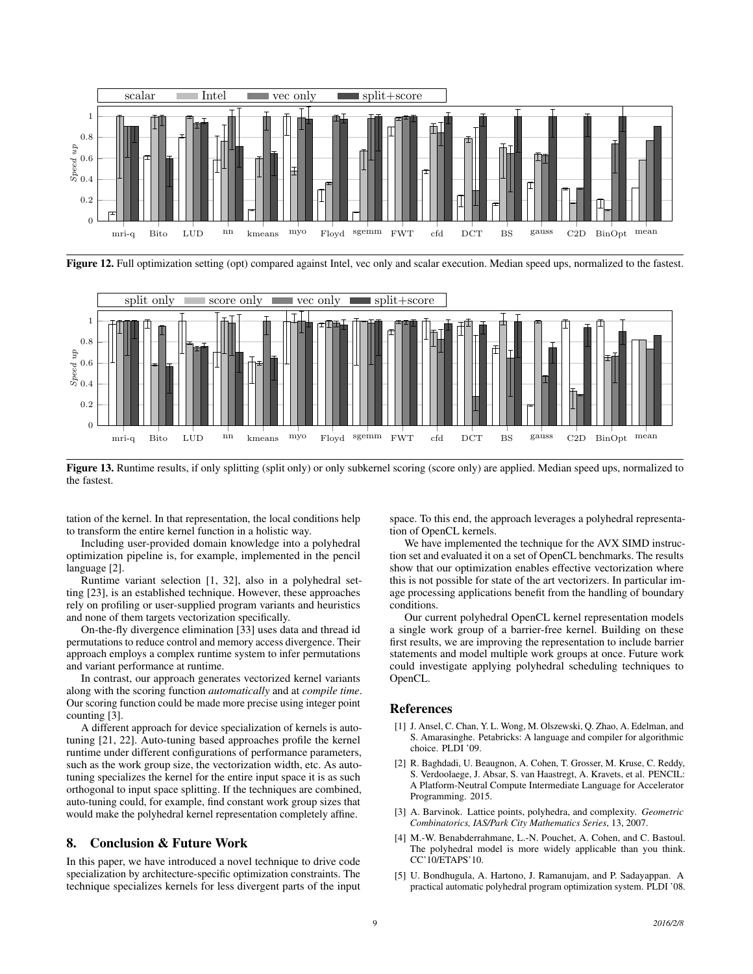

Figure 12. Full optimization setting (opt) compared against Intel, vec only and scalar execution. Median speed ups, normalized to the fastest.



Figure 13. Runtime results, if only splitting (split only) or only subkernel scoring (score only) are applied. Median speed ups, normalized to the fastest.

tation of the kernel. In that representation, the local conditions help to transform the entire kernel function in a holistic way.

Including user-provided domain knowledge into a polyhedral optimization pipeline is, for example, implemented in the pencil language [2].

Runtime variant selection [1, 32], also in a polyhedral setting [23], is an established technique. However, these approaches rely on profiling or user-supplied program variants and heuristics and none of them targets vectorization specifically.

On-the-fly divergence elimination [33] uses data and thread id permutations to reduce control and memory access divergence. Their approach employs a complex runtime system to infer permutations and variant performance at runtime.

In contrast, our approach generates vectorized kernel variants along with the scoring function *automatically* and at *compile time*. Our scoring function could be made more precise using integer point counting [3].

A different approach for device specialization of kernels is autotuning [21, 22]. Auto-tuning based approaches profile the kernel runtime under different configurations of performance parameters, such as the work group size, the vectorization width, etc. As autotuning specializes the kernel for the entire input space it is as such orthogonal to input space splitting. If the techniques are combined, auto-tuning could, for example, find constant work group sizes that would make the polyhedral kernel representation completely affine.

## 8. Conclusion & Future Work

In this paper, we have introduced a novel technique to drive code specialization by architecture-specific optimization constraints. The technique specializes kernels for less divergent parts of the input

space. To this end, the approach leverages a polyhedral representation of OpenCL kernels.

We have implemented the technique for the AVX SIMD instruction set and evaluated it on a set of OpenCL benchmarks. The results show that our optimization enables effective vectorization where this is not possible for state of the art vectorizers. In particular image processing applications benefit from the handling of boundary conditions.

Our current polyhedral OpenCL kernel representation models a single work group of a barrier-free kernel. Building on these first results, we are improving the representation to include barrier statements and model multiple work groups at once. Future work could investigate applying polyhedral scheduling techniques to OpenCL.

# **References**

- [1] J. Ansel, C. Chan, Y. L. Wong, M. Olszewski, Q. Zhao, A. Edelman, and S. Amarasinghe. Petabricks: A language and compiler for algorithmic choice. PLDI '09.
- [2] R. Baghdadi, U. Beaugnon, A. Cohen, T. Grosser, M. Kruse, C. Reddy, S. Verdoolaege, J. Absar, S. van Haastregt, A. Kravets, et al. PENCIL: A Platform-Neutral Compute Intermediate Language for Accelerator Programming. 2015.
- [3] A. Barvinok. Lattice points, polyhedra, and complexity. *Geometric Combinatorics, IAS/Park City Mathematics Series*, 13, 2007.
- M.-W. Benabderrahmane, L.-N. Pouchet, A. Cohen, and C. Bastoul. The polyhedral model is more widely applicable than you think. CC'10/ETAPS'10.
- [5] U. Bondhugula, A. Hartono, J. Ramanujam, and P. Sadayappan. A practical automatic polyhedral program optimization system. PLDI '08.